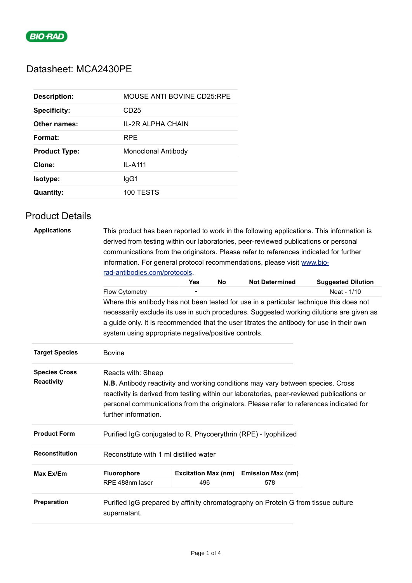

## Datasheet: MCA2430PE

| <b>Description:</b>  | MOUSE ANTI BOVINE CD25:RPE |
|----------------------|----------------------------|
| <b>Specificity:</b>  | CD <sub>25</sub>           |
| Other names:         | IL-2R ALPHA CHAIN          |
| Format:              | <b>RPF</b>                 |
| <b>Product Type:</b> | Monoclonal Antibody        |
| Clone:               | IL-A111                    |
| Isotype:             | lgG1                       |
| <b>Quantity:</b>     | 100 TESTS                  |

## Product Details

| <b>Applications</b>   | This product has been reported to work in the following applications. This information is |                            |           |                          |                                                                                          |  |  |
|-----------------------|-------------------------------------------------------------------------------------------|----------------------------|-----------|--------------------------|------------------------------------------------------------------------------------------|--|--|
|                       | derived from testing within our laboratories, peer-reviewed publications or personal      |                            |           |                          |                                                                                          |  |  |
|                       | communications from the originators. Please refer to references indicated for further     |                            |           |                          |                                                                                          |  |  |
|                       | information. For general protocol recommendations, please visit www.bio-                  |                            |           |                          |                                                                                          |  |  |
|                       | rad-antibodies.com/protocols.                                                             |                            |           |                          |                                                                                          |  |  |
|                       |                                                                                           | Yes                        | <b>No</b> | <b>Not Determined</b>    | <b>Suggested Dilution</b>                                                                |  |  |
|                       | Flow Cytometry                                                                            |                            |           |                          | Neat - 1/10                                                                              |  |  |
|                       |                                                                                           |                            |           |                          | Where this antibody has not been tested for use in a particular technique this does not  |  |  |
|                       |                                                                                           |                            |           |                          | necessarily exclude its use in such procedures. Suggested working dilutions are given as |  |  |
|                       | a guide only. It is recommended that the user titrates the antibody for use in their own  |                            |           |                          |                                                                                          |  |  |
|                       | system using appropriate negative/positive controls.                                      |                            |           |                          |                                                                                          |  |  |
| <b>Target Species</b> | <b>Bovine</b>                                                                             |                            |           |                          |                                                                                          |  |  |
| <b>Species Cross</b>  | Reacts with: Sheep                                                                        |                            |           |                          |                                                                                          |  |  |
| Reactivity            | <b>N.B.</b> Antibody reactivity and working conditions may vary between species. Cross    |                            |           |                          |                                                                                          |  |  |
|                       | reactivity is derived from testing within our laboratories, peer-reviewed publications or |                            |           |                          |                                                                                          |  |  |
|                       | personal communications from the originators. Please refer to references indicated for    |                            |           |                          |                                                                                          |  |  |
|                       | further information.                                                                      |                            |           |                          |                                                                                          |  |  |
| <b>Product Form</b>   | Purified IgG conjugated to R. Phycoerythrin (RPE) - Iyophilized                           |                            |           |                          |                                                                                          |  |  |
| <b>Reconstitution</b> | Reconstitute with 1 ml distilled water                                                    |                            |           |                          |                                                                                          |  |  |
| Max Ex/Em             | Fluorophore                                                                               | <b>Excitation Max (nm)</b> |           | <b>Emission Max (nm)</b> |                                                                                          |  |  |
|                       | RPE 488nm laser                                                                           | 496                        |           | 578                      |                                                                                          |  |  |
| Preparation           |                                                                                           |                            |           |                          |                                                                                          |  |  |
|                       | Purified IgG prepared by affinity chromatography on Protein G from tissue culture         |                            |           |                          |                                                                                          |  |  |
|                       | supernatant.                                                                              |                            |           |                          |                                                                                          |  |  |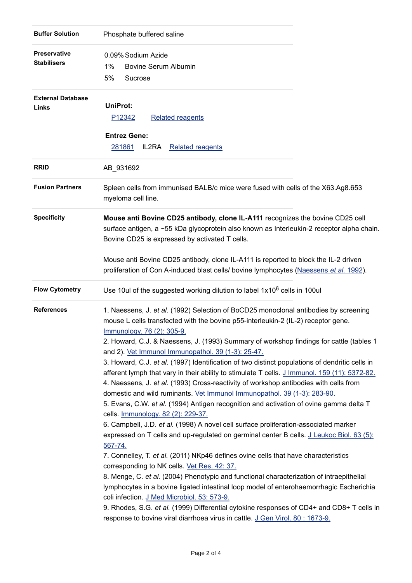| <b>Buffer Solution</b>                    | Phosphate buffered saline                                                                                                                                                                                                                                                                                                                                                                                                                                                                                                                                                                                                                                                                                                                                                                                                                                                                                                                                                                                                                                                                                                                                                                                                                                                                                                                                                                                                                                                                                                                                                                                                       |
|-------------------------------------------|---------------------------------------------------------------------------------------------------------------------------------------------------------------------------------------------------------------------------------------------------------------------------------------------------------------------------------------------------------------------------------------------------------------------------------------------------------------------------------------------------------------------------------------------------------------------------------------------------------------------------------------------------------------------------------------------------------------------------------------------------------------------------------------------------------------------------------------------------------------------------------------------------------------------------------------------------------------------------------------------------------------------------------------------------------------------------------------------------------------------------------------------------------------------------------------------------------------------------------------------------------------------------------------------------------------------------------------------------------------------------------------------------------------------------------------------------------------------------------------------------------------------------------------------------------------------------------------------------------------------------------|
| <b>Preservative</b><br><b>Stabilisers</b> | 0.09% Sodium Azide<br>1%<br><b>Bovine Serum Albumin</b><br>5%<br>Sucrose                                                                                                                                                                                                                                                                                                                                                                                                                                                                                                                                                                                                                                                                                                                                                                                                                                                                                                                                                                                                                                                                                                                                                                                                                                                                                                                                                                                                                                                                                                                                                        |
| <b>External Database</b><br>Links         | <b>UniProt:</b><br>P <sub>12342</sub><br><b>Related reagents</b><br><b>Entrez Gene:</b><br>281861<br>IL2RA<br><b>Related reagents</b>                                                                                                                                                                                                                                                                                                                                                                                                                                                                                                                                                                                                                                                                                                                                                                                                                                                                                                                                                                                                                                                                                                                                                                                                                                                                                                                                                                                                                                                                                           |
| <b>RRID</b>                               | AB_931692                                                                                                                                                                                                                                                                                                                                                                                                                                                                                                                                                                                                                                                                                                                                                                                                                                                                                                                                                                                                                                                                                                                                                                                                                                                                                                                                                                                                                                                                                                                                                                                                                       |
| <b>Fusion Partners</b>                    | Spleen cells from immunised BALB/c mice were fused with cells of the X63.Ag8.653<br>myeloma cell line.                                                                                                                                                                                                                                                                                                                                                                                                                                                                                                                                                                                                                                                                                                                                                                                                                                                                                                                                                                                                                                                                                                                                                                                                                                                                                                                                                                                                                                                                                                                          |
| <b>Specificity</b>                        | Mouse anti Bovine CD25 antibody, clone IL-A111 recognizes the bovine CD25 cell<br>surface antigen, a ~55 kDa glycoprotein also known as Interleukin-2 receptor alpha chain.<br>Bovine CD25 is expressed by activated T cells.<br>Mouse anti Bovine CD25 antibody, clone IL-A111 is reported to block the IL-2 driven<br>proliferation of Con A-induced blast cells/ bovine lymphocytes (Naessens et al. 1992).                                                                                                                                                                                                                                                                                                                                                                                                                                                                                                                                                                                                                                                                                                                                                                                                                                                                                                                                                                                                                                                                                                                                                                                                                  |
| <b>Flow Cytometry</b>                     | Use 10ul of the suggested working dilution to label 1x10 <sup>6</sup> cells in 100ul                                                                                                                                                                                                                                                                                                                                                                                                                                                                                                                                                                                                                                                                                                                                                                                                                                                                                                                                                                                                                                                                                                                                                                                                                                                                                                                                                                                                                                                                                                                                            |
| <b>References</b>                         | 1. Naessens, J. et al. (1992) Selection of BoCD25 monoclonal antibodies by screening<br>mouse L cells transfected with the bovine p55-interleukin-2 (IL-2) receptor gene.<br>Immunology. 76 (2): 305-9.<br>2. Howard, C.J. & Naessens, J. (1993) Summary of workshop findings for cattle (tables 1<br>and 2). Vet Immunol Immunopathol. 39 (1-3): 25-47.<br>3. Howard, C.J. et al. (1997) Identification of two distinct populations of dendritic cells in<br>afferent lymph that vary in their ability to stimulate T cells. J Immunol. 159 (11): 5372-82.<br>4. Naessens, J. et al. (1993) Cross-reactivity of workshop antibodies with cells from<br>domestic and wild ruminants. Vet Immunol Immunopathol. 39 (1-3): 283-90.<br>5. Evans, C.W. et al. (1994) Antigen recognition and activation of ovine gamma delta T<br>cells. <b>Immunology.</b> 82 (2): 229-37.<br>6. Campbell, J.D. et al. (1998) A novel cell surface proliferation-associated marker<br>expressed on T cells and up-regulated on germinal center B cells. J Leukoc Biol. 63 (5):<br>567-74.<br>7. Connelley, T. et al. (2011) NKp46 defines ovine cells that have characteristics<br>corresponding to NK cells. Vet Res. 42: 37.<br>8. Menge, C. et al. (2004) Phenotypic and functional characterization of intraepithelial<br>lymphocytes in a bovine ligated intestinal loop model of enterohaemorrhagic Escherichia<br>coli infection. J Med Microbiol. 53: 573-9.<br>9. Rhodes, S.G. et al. (1999) Differential cytokine responses of CD4+ and CD8+ T cells in<br>response to bovine viral diarrhoea virus in cattle. J Gen Virol. 80 : 1673-9. |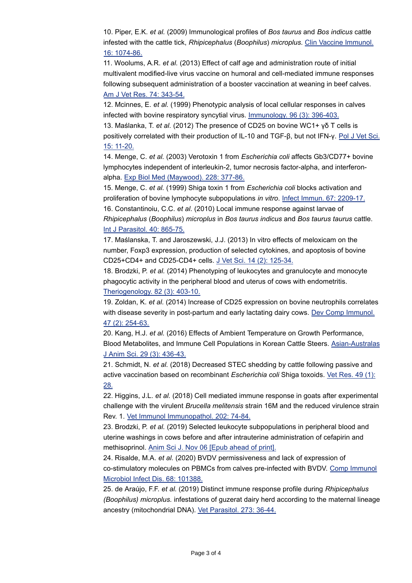10. Piper, E.K. *et al.* (2009) Immunological profiles of *Bos taurus* and *Bos indicus* cattle infested with the cattle tick, *Rhipicephalus* (*Boophilus*) *microplus*. [Clin Vaccine Immunol.](http://www.ncbi.nlm.nih.gov/pubmed/19474263) 16: 1074-86.

11. Woolums, A.R. *et al.* (2013) Effect of calf age and administration route of initial multivalent modified-live virus vaccine on humoral and cell-mediated immune responses following subsequent administration of a booster vaccination at weaning in beef calves. [Am J Vet Res. 74: 343-54.](http://www.ncbi.nlm.nih.gov/pubmed/23363363)

12. Mcinnes, E. *et al.* (1999) Phenotypic analysis of local cellular responses in calves infected with bovine respiratory syncytial virus. [Immunology. 96 \(3\): 396-403.](http://www.ncbi.nlm.nih.gov/pubmed/10419349)

13. Maślanka, T. *et al.* (2012) The presence of CD25 on bovine WC1+ γδ T cells is positively correlated with their production of IL-10 and TGF-β, but not IFN-γ. [Pol J Vet Sci.](http://www.ncbi.nlm.nih.gov/pubmed/22708352) 15: 11-20.

14. Menge, C. *et al.* (2003) Verotoxin 1 from *Escherichia coli* affects Gb3/CD77+ bovine lymphocytes independent of interleukin-2, tumor necrosis factor-alpha, and interferonalpha. [Exp Biol Med \(Maywood\). 228: 377-86.](http://www.ncbi.nlm.nih.gov/pubmed/12671182)

15. Menge, C. *et al.* (1999) Shiga toxin 1 from *Escherichia coli* blocks activation and proliferation of bovine lymphocyte subpopulations *in vitro*. [Infect Immun. 67: 2209-17.](http://www.ncbi.nlm.nih.gov/pubmed/10225876) 16. Constantinoiu, C.C. *et al.* (2010) Local immune response against larvae of *Rhipicephalus* (*Boophilus*) *microplus* in *Bos taurus indicus* and *Bos taurus taurus* cattle. [Int J Parasitol. 40: 865-75.](http://www.ncbi.nlm.nih.gov/pubmed/20109460)

17. Maślanska, T. and Jaroszewski, J.J. (2013) In vitro effects of meloxicam on the number, Foxp3 expression, production of selected cytokines, and apoptosis of bovine CD25+CD4+ and CD25-CD4+ cells. [J Vet Sci. 14 \(2\): 125-34.](http://www.ncbi.nlm.nih.gov/pubmed/23628659)

18. Brodzki, P. *et al.* (2014) Phenotyping of leukocytes and granulocyte and monocyte phagocytic activity in the peripheral blood and uterus of cows with endometritis. [Theriogenology. 82 \(3\): 403-10.](http://www.ncbi.nlm.nih.gov/pubmed/24857644)

19. Zoldan, K. *et al.* (2014) Increase of CD25 expression on bovine neutrophils correlates with disease severity in post-partum and early lactating dairy cows. [Dev Comp Immunol.](http://www.ncbi.nlm.nih.gov/pubmed/25106916) 47 (2): 254-63.

20. Kang, H.J. *et al.* (2016) Effects of Ambient Temperature on Growth Performance, Blood Metabolites, and Immune Cell Populations in Korean Cattle Steers. [Asian-Australas](http://www.ncbi.nlm.nih.gov/pubmed/26950877) J Anim Sci. 29 (3): 436-43.

21. Schmidt, N. *et al.* (2018) Decreased STEC shedding by cattle following passive and active vaccination based on recombinant *Escherichia coli* Shiga toxoids. [Vet Res. 49 \(1\):](http://www.ncbi.nlm.nih.gov/pubmed/29514704) 28.

22. Higgins, J.L. *et al.* (2018) Cell mediated immune response in goats after experimental challenge with the virulent *Brucella melitensis* strain 16M and the reduced virulence strain Rev. 1. [Vet Immunol Immunopathol. 202: 74-84.](http://www.ncbi.nlm.nih.gov/pubmed/30078602)

23. Brodzki, P. *et al.* (2019) Selected leukocyte subpopulations in peripheral blood and uterine washings in cows before and after intrauterine administration of cefapirin and methisoprinol. [Anim Sci J. Nov 06 \[Epub ahead of print\].](http://www.ncbi.nlm.nih.gov/pubmed/31696608)

24. Risalde, M.A. *et al.* (2020) BVDV permissiveness and lack of expression of co-stimulatory molecules on PBMCs from calves pre-infected with BVDV. [Comp Immunol](http://www.ncbi.nlm.nih.gov/pubmed/31790941) Microbiol Infect Dis. 68: 101388.

25. de Araújo, F.F. *et al.* (2019) Distinct immune response profile during *Rhipicephalus (Boophilus) microplus.* infestations of guzerat dairy herd according to the maternal lineage ancestry (mitochondrial DNA). [Vet Parasitol. 273: 36-44.](http://www.ncbi.nlm.nih.gov/pubmed/31442891)